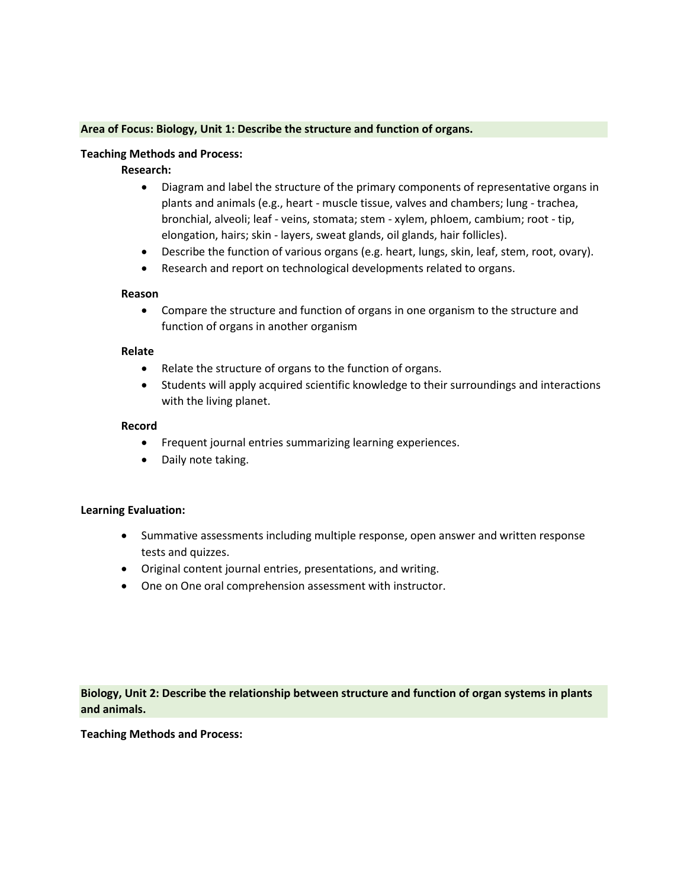### **Area of Focus: Biology, Unit 1: Describe the structure and function of organs.**

#### **Teaching Methods and Process:**

## **Research:**

- Diagram and label the structure of the primary components of representative organs in plants and animals (e.g., heart - muscle tissue, valves and chambers; lung - trachea, bronchial, alveoli; leaf - veins, stomata; stem - xylem, phloem, cambium; root - tip, elongation, hairs; skin - layers, sweat glands, oil glands, hair follicles).
- Describe the function of various organs (e.g. heart, lungs, skin, leaf, stem, root, ovary).
- Research and report on technological developments related to organs.

#### **Reason**

• Compare the structure and function of organs in one organism to the structure and function of organs in another organism

### **Relate**

- Relate the structure of organs to the function of organs.
- Students will apply acquired scientific knowledge to their surroundings and interactions with the living planet.

### **Record**

- Frequent journal entries summarizing learning experiences.
- Daily note taking.

#### **Learning Evaluation:**

- Summative assessments including multiple response, open answer and written response tests and quizzes.
- Original content journal entries, presentations, and writing.
- One on One oral comprehension assessment with instructor.

**Biology, Unit 2: Describe the relationship between structure and function of organ systems in plants and animals.**

**Teaching Methods and Process:**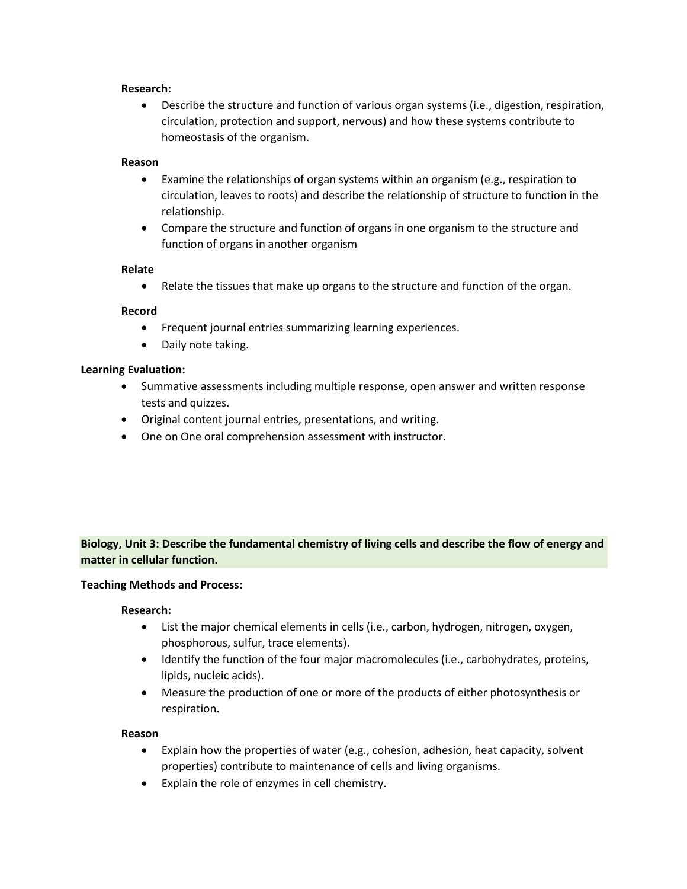### **Research:**

• Describe the structure and function of various organ systems (i.e., digestion, respiration, circulation, protection and support, nervous) and how these systems contribute to homeostasis of the organism.

### **Reason**

- Examine the relationships of organ systems within an organism (e.g., respiration to circulation, leaves to roots) and describe the relationship of structure to function in the relationship.
- Compare the structure and function of organs in one organism to the structure and function of organs in another organism

## **Relate**

• Relate the tissues that make up organs to the structure and function of the organ.

## **Record**

- Frequent journal entries summarizing learning experiences.
- Daily note taking.

### **Learning Evaluation:**

- Summative assessments including multiple response, open answer and written response tests and quizzes.
- Original content journal entries, presentations, and writing.
- One on One oral comprehension assessment with instructor.

# **Biology, Unit 3: Describe the fundamental chemistry of living cells and describe the flow of energy and matter in cellular function.**

#### **Teaching Methods and Process:**

#### **Research:**

- List the major chemical elements in cells (i.e., carbon, hydrogen, nitrogen, oxygen, phosphorous, sulfur, trace elements).
- Identify the function of the four major macromolecules (i.e., carbohydrates, proteins, lipids, nucleic acids).
- Measure the production of one or more of the products of either photosynthesis or respiration.

#### **Reason**

- Explain how the properties of water (e.g., cohesion, adhesion, heat capacity, solvent properties) contribute to maintenance of cells and living organisms.
- Explain the role of enzymes in cell chemistry.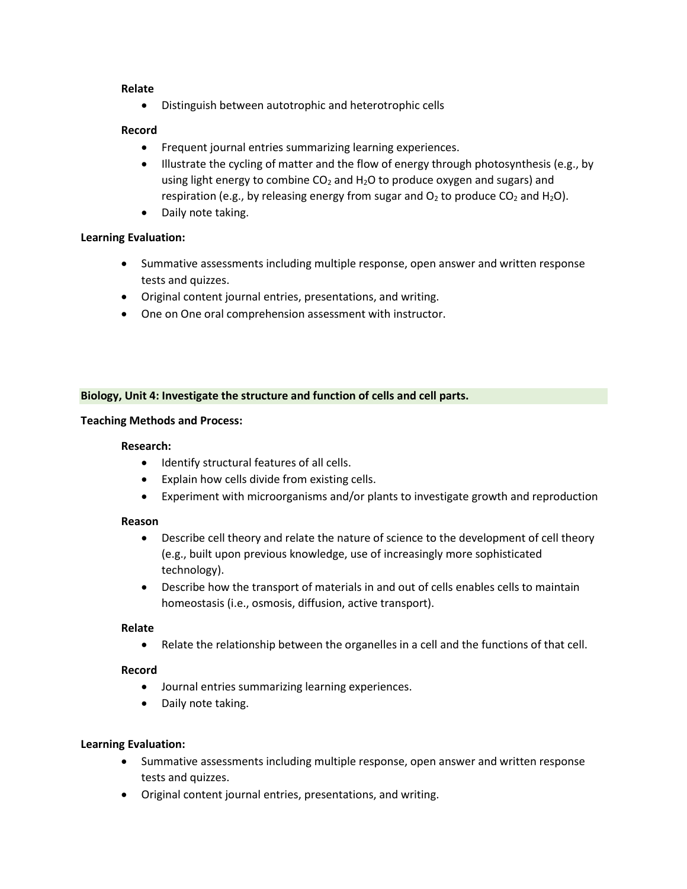### **Relate**

• Distinguish between autotrophic and heterotrophic cells

### **Record**

- Frequent journal entries summarizing learning experiences.
- Illustrate the cycling of matter and the flow of energy through photosynthesis (e.g., by using light energy to combine  $CO<sub>2</sub>$  and  $H<sub>2</sub>O$  to produce oxygen and sugars) and respiration (e.g., by releasing energy from sugar and  $O_2$  to produce  $CO_2$  and  $H_2O$ ).
- Daily note taking.

## **Learning Evaluation:**

- Summative assessments including multiple response, open answer and written response tests and quizzes.
- Original content journal entries, presentations, and writing.
- One on One oral comprehension assessment with instructor.

## **Biology, Unit 4: Investigate the structure and function of cells and cell parts.**

### **Teaching Methods and Process:**

#### **Research:**

- Identify structural features of all cells.
- Explain how cells divide from existing cells.
- Experiment with microorganisms and/or plants to investigate growth and reproduction

#### **Reason**

- Describe cell theory and relate the nature of science to the development of cell theory (e.g., built upon previous knowledge, use of increasingly more sophisticated technology).
- Describe how the transport of materials in and out of cells enables cells to maintain homeostasis (i.e., osmosis, diffusion, active transport).

#### **Relate**

• Relate the relationship between the organelles in a cell and the functions of that cell.

#### **Record**

- Journal entries summarizing learning experiences.
- Daily note taking.

## **Learning Evaluation:**

- Summative assessments including multiple response, open answer and written response tests and quizzes.
- Original content journal entries, presentations, and writing.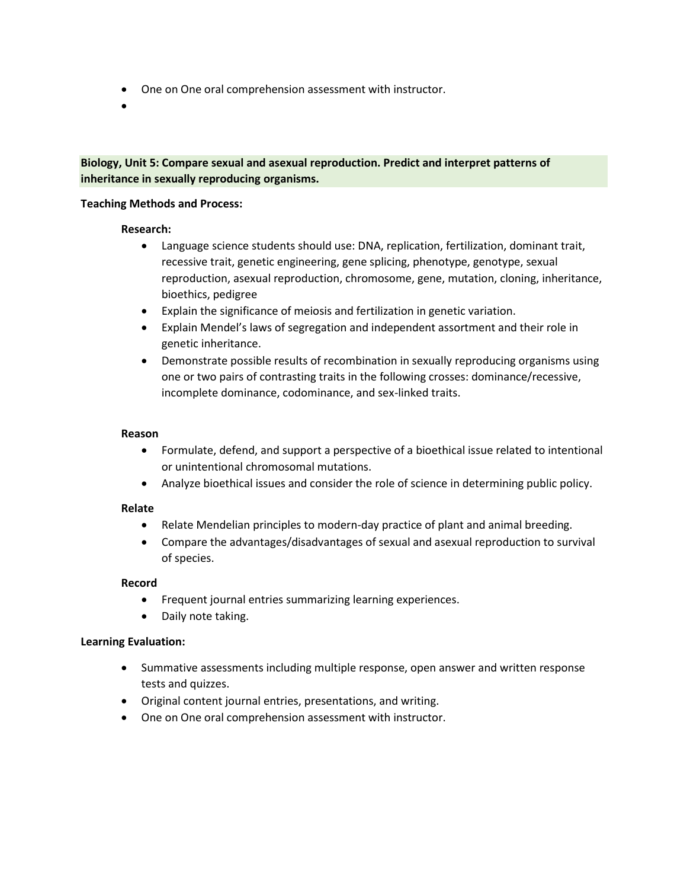- One on One oral comprehension assessment with instructor.
- •

## **Biology, Unit 5: Compare sexual and asexual reproduction. Predict and interpret patterns of inheritance in sexually reproducing organisms.**

### **Teaching Methods and Process:**

## **Research:**

- Language science students should use: DNA, replication, fertilization, dominant trait, recessive trait, genetic engineering, gene splicing, phenotype, genotype, sexual reproduction, asexual reproduction, chromosome, gene, mutation, cloning, inheritance, bioethics, pedigree
- Explain the significance of meiosis and fertilization in genetic variation.
- Explain Mendel's laws of segregation and independent assortment and their role in genetic inheritance.
- Demonstrate possible results of recombination in sexually reproducing organisms using one or two pairs of contrasting traits in the following crosses: dominance/recessive, incomplete dominance, codominance, and sex-linked traits.

### **Reason**

- Formulate, defend, and support a perspective of a bioethical issue related to intentional or unintentional chromosomal mutations.
- Analyze bioethical issues and consider the role of science in determining public policy.

#### **Relate**

- Relate Mendelian principles to modern-day practice of plant and animal breeding.
- Compare the advantages/disadvantages of sexual and asexual reproduction to survival of species.

#### **Record**

- Frequent journal entries summarizing learning experiences.
- Daily note taking.

## **Learning Evaluation:**

- Summative assessments including multiple response, open answer and written response tests and quizzes.
- Original content journal entries, presentations, and writing.
- One on One oral comprehension assessment with instructor.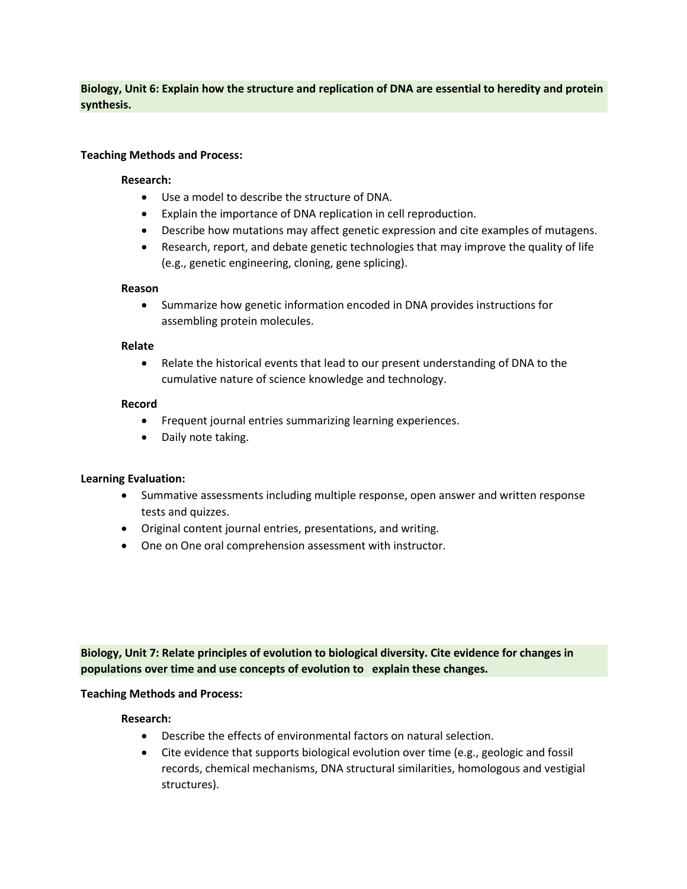**Biology, Unit 6: Explain how the structure and replication of DNA are essential to heredity and protein synthesis.**

### **Teaching Methods and Process:**

### **Research:**

- Use a model to describe the structure of DNA.
- Explain the importance of DNA replication in cell reproduction.
- Describe how mutations may affect genetic expression and cite examples of mutagens.
- Research, report, and debate genetic technologies that may improve the quality of life (e.g., genetic engineering, cloning, gene splicing).

#### **Reason**

• Summarize how genetic information encoded in DNA provides instructions for assembling protein molecules.

### **Relate**

• Relate the historical events that lead to our present understanding of DNA to the cumulative nature of science knowledge and technology.

### **Record**

- Frequent journal entries summarizing learning experiences.
- Daily note taking.

## **Learning Evaluation:**

- Summative assessments including multiple response, open answer and written response tests and quizzes.
- Original content journal entries, presentations, and writing.
- One on One oral comprehension assessment with instructor.

**Biology, Unit 7: Relate principles of evolution to biological diversity. Cite evidence for changes in populations over time and use concepts of evolution to explain these changes.**

## **Teaching Methods and Process:**

## **Research:**

- Describe the effects of environmental factors on natural selection.
- Cite evidence that supports biological evolution over time (e.g., geologic and fossil records, chemical mechanisms, DNA structural similarities, homologous and vestigial structures).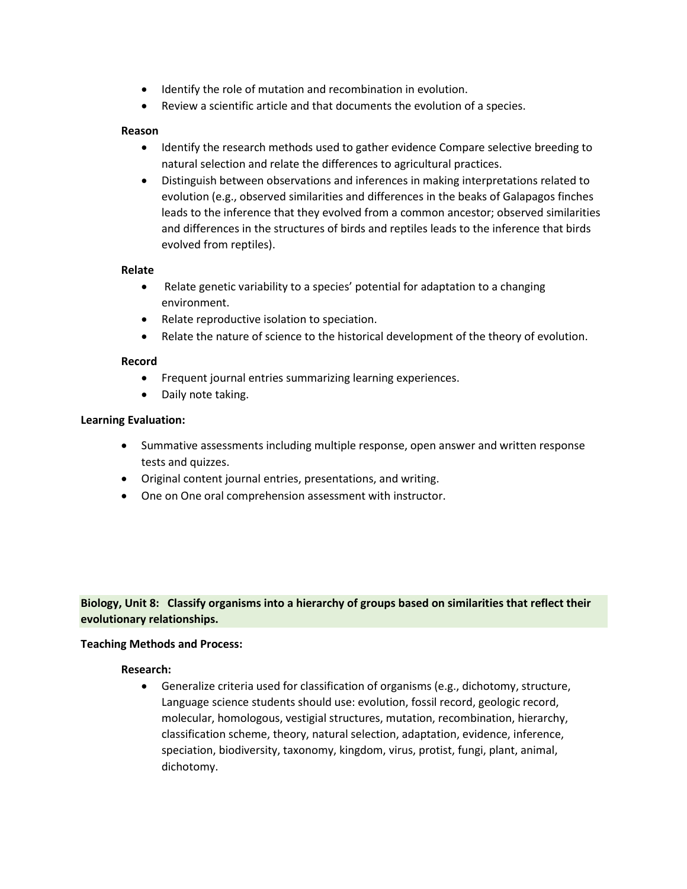- Identify the role of mutation and recombination in evolution.
- Review a scientific article and that documents the evolution of a species.

### **Reason**

- Identify the research methods used to gather evidence Compare selective breeding to natural selection and relate the differences to agricultural practices.
- Distinguish between observations and inferences in making interpretations related to evolution (e.g., observed similarities and differences in the beaks of Galapagos finches leads to the inference that they evolved from a common ancestor; observed similarities and differences in the structures of birds and reptiles leads to the inference that birds evolved from reptiles).

### **Relate**

- Relate genetic variability to a species' potential for adaptation to a changing environment.
- Relate reproductive isolation to speciation.
- Relate the nature of science to the historical development of the theory of evolution.

### **Record**

- Frequent journal entries summarizing learning experiences.
- Daily note taking.

### **Learning Evaluation:**

- Summative assessments including multiple response, open answer and written response tests and quizzes.
- Original content journal entries, presentations, and writing.
- One on One oral comprehension assessment with instructor.

# **Biology, Unit 8: Classify organisms into a hierarchy of groups based on similarities that reflect their evolutionary relationships.**

## **Teaching Methods and Process:**

#### **Research:**

• Generalize criteria used for classification of organisms (e.g., dichotomy, structure, Language science students should use: evolution, fossil record, geologic record, molecular, homologous, vestigial structures, mutation, recombination, hierarchy, classification scheme, theory, natural selection, adaptation, evidence, inference, speciation, biodiversity, taxonomy, kingdom, virus, protist, fungi, plant, animal, dichotomy.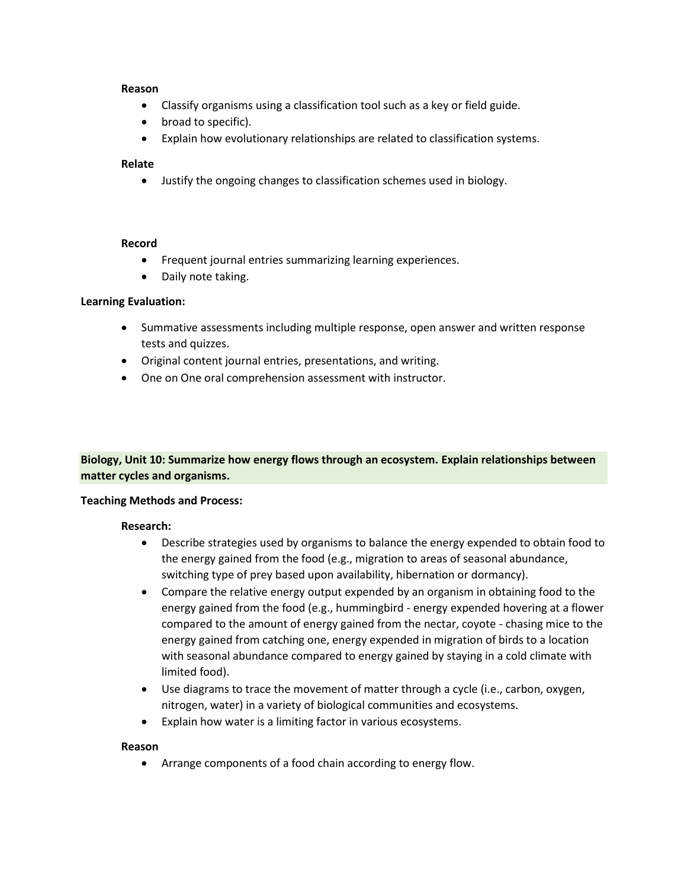### **Reason**

- Classify organisms using a classification tool such as a key or field guide.
- broad to specific).
- Explain how evolutionary relationships are related to classification systems.

## **Relate**

• Justify the ongoing changes to classification schemes used in biology.

#### **Record**

- Frequent journal entries summarizing learning experiences.
- Daily note taking.

### **Learning Evaluation:**

- Summative assessments including multiple response, open answer and written response tests and quizzes.
- Original content journal entries, presentations, and writing.
- One on One oral comprehension assessment with instructor.

## **Biology, Unit 10: Summarize how energy flows through an ecosystem. Explain relationships between matter cycles and organisms.**

#### **Teaching Methods and Process:**

#### **Research:**

- Describe strategies used by organisms to balance the energy expended to obtain food to the energy gained from the food (e.g., migration to areas of seasonal abundance, switching type of prey based upon availability, hibernation or dormancy).
- Compare the relative energy output expended by an organism in obtaining food to the energy gained from the food (e.g., hummingbird - energy expended hovering at a flower compared to the amount of energy gained from the nectar, coyote - chasing mice to the energy gained from catching one, energy expended in migration of birds to a location with seasonal abundance compared to energy gained by staying in a cold climate with limited food).
- Use diagrams to trace the movement of matter through a cycle (i.e., carbon, oxygen, nitrogen, water) in a variety of biological communities and ecosystems.
- Explain how water is a limiting factor in various ecosystems.

#### **Reason**

• Arrange components of a food chain according to energy flow.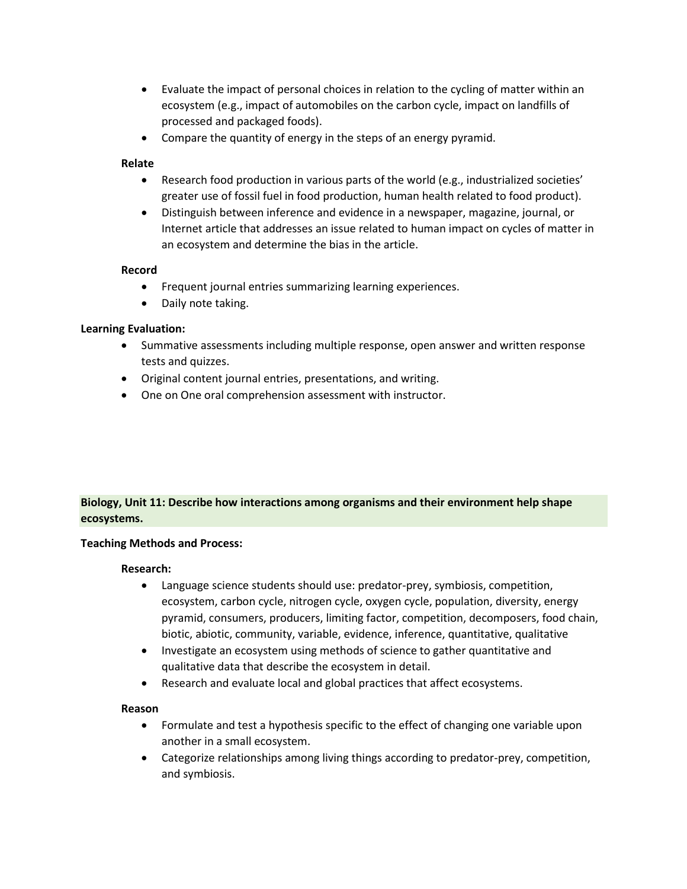- Evaluate the impact of personal choices in relation to the cycling of matter within an ecosystem (e.g., impact of automobiles on the carbon cycle, impact on landfills of processed and packaged foods).
- Compare the quantity of energy in the steps of an energy pyramid.

## **Relate**

- Research food production in various parts of the world (e.g., industrialized societies' greater use of fossil fuel in food production, human health related to food product).
- Distinguish between inference and evidence in a newspaper, magazine, journal, or Internet article that addresses an issue related to human impact on cycles of matter in an ecosystem and determine the bias in the article.

## **Record**

- Frequent journal entries summarizing learning experiences.
- Daily note taking.

## **Learning Evaluation:**

- Summative assessments including multiple response, open answer and written response tests and quizzes.
- Original content journal entries, presentations, and writing.
- One on One oral comprehension assessment with instructor.

# **Biology, Unit 11: Describe how interactions among organisms and their environment help shape ecosystems.**

## **Teaching Methods and Process:**

## **Research:**

- Language science students should use: predator-prey, symbiosis, competition, ecosystem, carbon cycle, nitrogen cycle, oxygen cycle, population, diversity, energy pyramid, consumers, producers, limiting factor, competition, decomposers, food chain, biotic, abiotic, community, variable, evidence, inference, quantitative, qualitative
- Investigate an ecosystem using methods of science to gather quantitative and qualitative data that describe the ecosystem in detail.
- Research and evaluate local and global practices that affect ecosystems.

## **Reason**

- Formulate and test a hypothesis specific to the effect of changing one variable upon another in a small ecosystem.
- Categorize relationships among living things according to predator-prey, competition, and symbiosis.